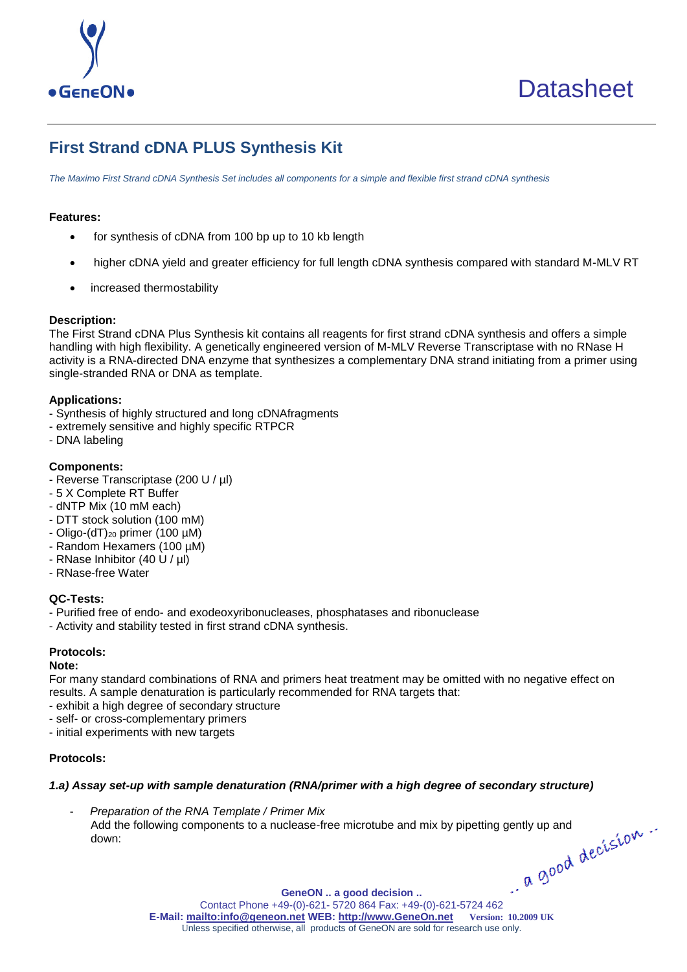

# **First Strand cDNA PLUS Synthesis Kit**

*The Maximo First Strand cDNA Synthesis Set includes all components for a simple and flexible first strand cDNA synthesis*

## **Features:**

- for synthesis of cDNA from 100 bp up to 10 kb length
- higher cDNA yield and greater efficiency for full length cDNA synthesis compared with standard M-MLV RT
- increased thermostability

## **Description:**

The First Strand cDNA Plus Synthesis kit contains all reagents for first strand cDNA synthesis and offers a simple handling with high flexibility. A genetically engineered version of M-MLV Reverse Transcriptase with no RNase H activity is a RNA-directed DNA enzyme that synthesizes a complementary DNA strand initiating from a primer using single-stranded RNA or DNA as template.

## **Applications:**

- Synthesis of highly structured and long cDNAfragments
- extremely sensitive and highly specific RTPCR
- DNA labeling

## **Components:**

- Reverse Transcriptase (200 U / µl)
- 5 X Complete RT Buffer
- dNTP Mix (10 mM each)
- DTT stock solution (100 mM)
- Oligo-(dT) $_{20}$  primer (100  $\mu$ M)
- Random Hexamers (100 µM)
- RNase Inhibitor (40 U / µl)
- RNase-free Water

# **QC-Tests:**

- Purified free of endo- and exodeoxyribonucleases, phosphatases and ribonuclease
- Activity and stability tested in first strand cDNA synthesis.

# **Protocols:**

#### **Note:**

For many standard combinations of RNA and primers heat treatment may be omitted with no negative effect on results. A sample denaturation is particularly recommended for RNA targets that:

- exhibit a high degree of secondary structure
- self- or cross-complementary primers
- initial experiments with new targets

# **Protocols:**

# *1.a) Assay set-up with sample denaturation (RNA/primer with a high degree of secondary structure)*

GeneON .. a good decision ..<br>Contact Phone +49-(0)-621- 5720 864 Fax: +49-(0)-621-5724 462 - *Preparation of the RNA Template / Primer Mix* Add the following components to a nuclease-free microtube and mix by pipetting gently up and down: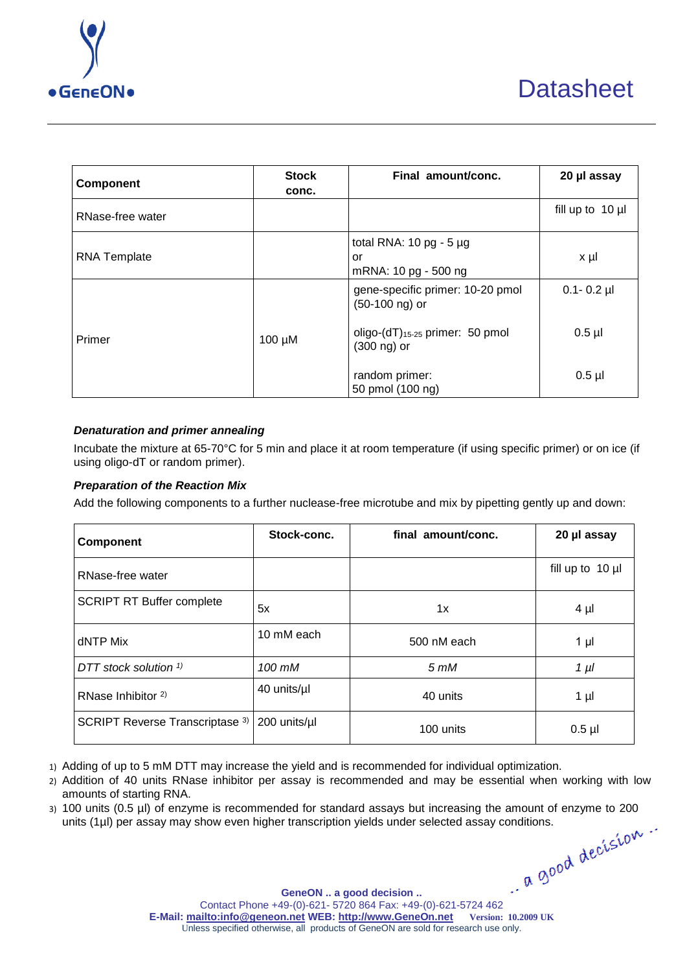

| <b>Component</b>    | <b>Stock</b><br>conc. | Final amount/conc.                                                 | 20 µl assay      |
|---------------------|-----------------------|--------------------------------------------------------------------|------------------|
| RNase-free water    |                       |                                                                    | fill up to 10 µl |
| <b>RNA Template</b> |                       | total RNA: $10$ pg - $5$ µg<br>or<br>mRNA: 10 pg - 500 ng          | $x \mu$          |
|                     |                       | gene-specific primer: 10-20 pmol<br>$(50-100 \text{ ng})$ or       | $0.1 - 0.2$ µl   |
| Primer              | $100 \mu M$           | oligo- $(dT)$ <sub>15-25</sub> primer: 50 pmol<br>$(300 \n mg)$ or | $0.5$ µl         |
|                     |                       | random primer:<br>50 pmol (100 ng)                                 | $0.5$ µl         |

# *Denaturation and primer annealing*

Incubate the mixture at 65-70°C for 5 min and place it at room temperature (if using specific primer) or on ice (if using oligo-dT or random primer).

## *Preparation of the Reaction Mix*

Add the following components to a further nuclease-free microtube and mix by pipetting gently up and down:

| <b>Component</b>                 | Stock-conc.  | final amount/conc. | 20 µl assay           |
|----------------------------------|--------------|--------------------|-----------------------|
| RNase-free water                 |              |                    | fill up to $10 \mu l$ |
| <b>SCRIPT RT Buffer complete</b> | 5x           | 1x                 | $4 \mu$               |
| dNTP Mix                         | 10 mM each   | 500 nM each        | $1 \mu$               |
| DTT stock solution $\frac{1}{1}$ | 100 mM       | $5 \, \text{m}$ M  | $1 \mu l$             |
| RNase Inhibitor <sup>2)</sup>    | 40 units/ul  | 40 units           | $1 \mu$               |
| SCRIPT Reverse Transcriptase 3)  | 200 units/µl | 100 units          | $0.5$ µl              |

1) Adding of up to 5 mM DTT may increase the yield and is recommended for individual optimization.

- 2) Addition of 40 units RNase inhibitor per assay is recommended and may be essential when working with low amounts of starting RNA.
- GeneON .. a good decision .. <br>Contact Phone +49-(0)-621- 5720 864 Fax: +49-(0)-621-5724 462 3) 100 units (0.5 µl) of enzyme is recommended for standard assays but increasing the amount of enzyme to 200 units (1µl) per assay may show even higher transcription yields under selected assay conditions.

**[GeneON .. a good decision ..](http://www.geneon.net/) E-Mail[: mailto:info@geneon.net](mailto:info@geneon.net) WEB: [http://www.GeneOn.net](http://www.geneon.net/) Version: 10.2009 UK** Unless specified otherwise, all products of GeneON are sold for research use only.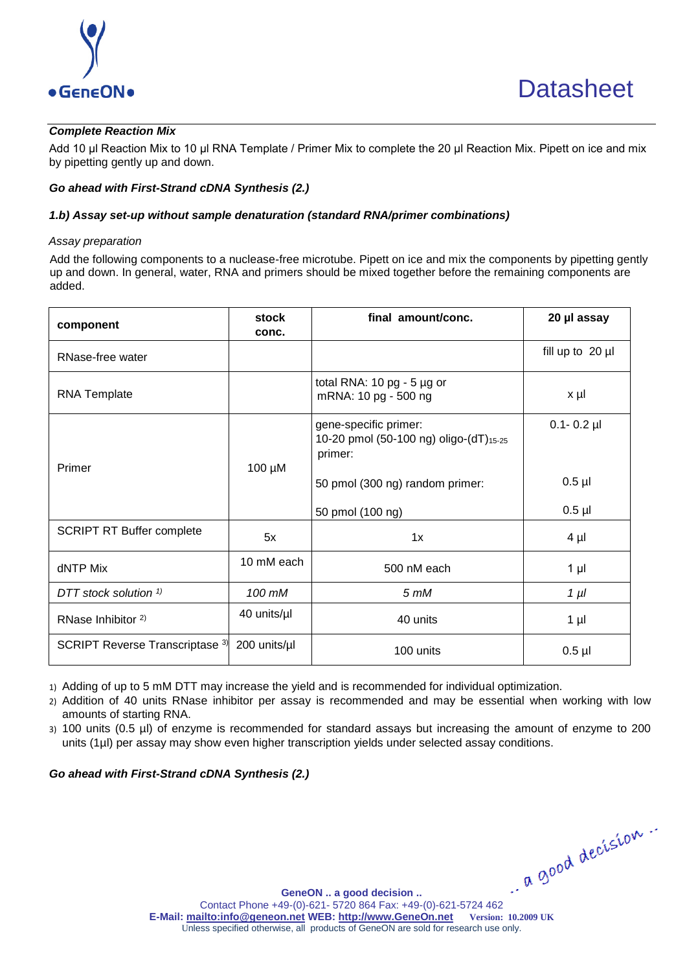

# *Complete Reaction Mix*

Add 10 µl Reaction Mix to 10 µl RNA Template / Primer Mix to complete the 20 μl Reaction Mix. Pipett on ice and mix by pipetting gently up and down.

## *Go ahead with First-Strand cDNA Synthesis (2.)*

## *1.b) Assay set-up without sample denaturation (standard RNA/primer combinations)*

#### *Assay preparation*

Add the following components to a nuclease-free microtube. Pipett on ice and mix the components by pipetting gently up and down. In general, water, RNA and primers should be mixed together before the remaining components are added.

| component                        | stock<br>conc. | final amount/conc.                                                         | 20 µl assay           |
|----------------------------------|----------------|----------------------------------------------------------------------------|-----------------------|
| RNase-free water                 |                |                                                                            | fill up to $20 \mu l$ |
| <b>RNA Template</b>              |                | total RNA: 10 pg - 5 µg or<br>mRNA: 10 pg - 500 ng                         | x µl                  |
| Primer                           | 100 µM         | gene-specific primer:<br>10-20 pmol (50-100 ng) oligo-(dT)15-25<br>primer: | $0.1 - 0.2$ µl        |
|                                  |                | 50 pmol (300 ng) random primer:                                            | $0.5$ µl              |
|                                  |                | 50 pmol (100 ng)                                                           | $0.5$ $\mu$           |
| <b>SCRIPT RT Buffer complete</b> | 5x             | 1x                                                                         | $4 \mu$               |
| dNTP Mix                         | 10 mM each     | 500 nM each                                                                | $1 \mu$               |
| DTT stock solution <sup>1)</sup> | 100 mM         | $5 \, \text{m}$ M                                                          | $1 \mu l$             |
| RNase Inhibitor <sup>2)</sup>    | 40 units/µl    | 40 units                                                                   | $1 \mu$               |
| SCRIPT Reverse Transcriptase 3)  | 200 units/µl   | 100 units                                                                  | $0.5$ µl              |

1) Adding of up to 5 mM DTT may increase the yield and is recommended for individual optimization.

2) Addition of 40 units RNase inhibitor per assay is recommended and may be essential when working with low amounts of starting RNA.

3) 100 units (0.5 µl) of enzyme is recommended for standard assays but increasing the amount of enzyme to 200 units (1µl) per assay may show even higher transcription yields under selected assay conditions.

# *Go ahead with First-Strand cDNA Synthesis (2.)*

GeneON .. a good decision ..<br>Contact Phone +49-(0)-621- 5720 864 Fax: +49-(0)-621-5724 462

**[GeneON .. a good decision ..](http://www.geneon.net/) E-Mail[: mailto:info@geneon.net](mailto:info@geneon.net) WEB: [http://www.GeneOn.net](http://www.geneon.net/) Version: 10.2009 UK** Unless specified otherwise, all products of GeneON are sold for research use only.